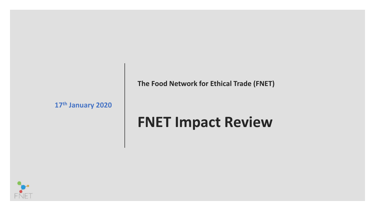**The Food Network for Ethical Trade (FNET)**

**17th January 2020**

# **FNET Impact Review**

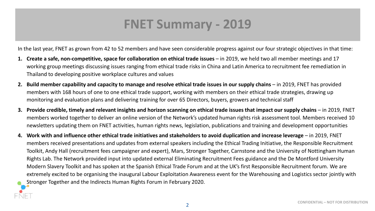## **FNET Summary - 2019**

In the last year, FNET as grown from 42 to 52 members and have seen considerable progress against our four strategic objectives in that time:

- 1. Create a safe, non-competitive, space for collaboration on ethical trade issues in 2019, we held two all member meetings and 17 working group meetings discussing issues ranging from ethical trade risks in China and Latin America to recruitment fee remediation in Thailand to developing positive workplace cultures and values
- 2. Build member capability and capacity to manage and resolve ethical trade issues in our supply chains in 2019, FNET has provided members with 168 hours of one to one ethical trade support, working with members on their ethical trade strategies, drawing up monitoring and evaluation plans and delivering training for over 65 Directors, buyers, growers and technical staff
- **3.** Provide credible, timely and relevant insights and horizon scanning on ethical trade issues that impact our supply chains in 2019, FNET members worked together to deliver an online version of the Network's updated human rights risk assessment tool. Members received 10 newsletters updating them on FNET activities, human rights news, legislation, publications and training and development opportunities
- **4. Work with and influence other ethical trade initiatives and stakeholders to avoid duplication and increase leverage**  in 2019, FNET members received presentations and updates from external speakers including the Ethical Trading Initiative, the Responsible Recruitment Toolkit, Andy Hall (recruitment fees campaigner and expert), Mars, Stronger Together, Carnstone and the University of Nottingham Human Rights Lab. The Network provided input into updated external Eliminating Recruitment Fees guidance and the De Montford University Modern Slavery Toolkit and has spoken at the Spanish Ethical Trade Forum and at the UK's first Responsible Recruitment forum. We are extremely excited to be organising the inaugural Labour Exploitation Awareness event for the Warehousing and Logistics sector jointly with Stronger Together and the Indirects Human Rights Forum in February 2020.

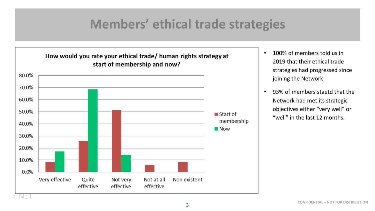#### **Members' ethical trade strategies**



- 100% of members told us in 2019 that their ethical trade strategies had progressed since joining the Network
- 93% of members staetd that the Network had met its strategic objectives either "very well" or "well" in the last 12 months.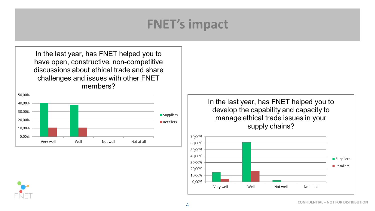# **FNET's impact**

In the last year, has FNET helped you to have open, constructive, non-competitive discussions about ethical trade and share challenges and issues with other FNET members?



In the last year, has FNET helped you to develop the capability and capacity to manage ethical trade issues in your supply chains?



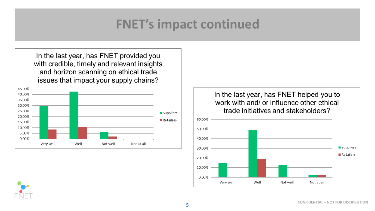## **FNET's impact continued**

In the last year, has FNET provided you with credible, timely and relevant insights and horizon scanning on ethical trade issues that impact your supply chains?



In the last year, has FNET helped you to work with and/ or influence other ethical trade initiatives and stakeholders?



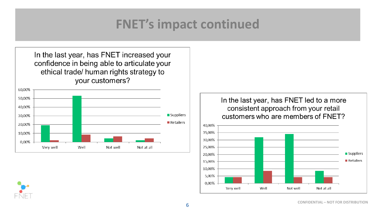## **FNET's impact continued**

In the last year, has FNET increased your confidence in being able to articulate your ethical trade/ human rights strategy to your customers?



In the last year, has FNET led to a more consistent approach from your retail customers who are members of FNET?



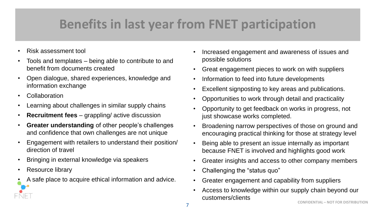# **Benefits in last year from FNET participation**

- Risk assessment tool
- Tools and templates being able to contribute to and benefit from documents created
- Open dialogue, shared experiences, knowledge and information exchange
- Collaboration
- Learning about challenges in similar supply chains
- **Recruitment fees**  grappling/ active discussion
- **Greater understanding** of other people's challenges and confidence that own challenges are not unique
- Engagement with retailers to understand their position/ direction of travel
- Bringing in external knowledge via speakers
- Resource library
- A safe place to acquire ethical information and advice.
- Increased engagement and awareness of issues and possible solutions
- Great engagement pieces to work on with suppliers
- Information to feed into future developments
- Excellent signposting to key areas and publications.
- Opportunities to work through detail and practicality
- Opportunity to get feedback on works in progress, not just showcase works completed.
- Broadening narrow perspectives of those on ground and encouraging practical thinking for those at strategy level
- Being able to present an issue internally as important because FNET is involved and highlights good work
- Greater insights and access to other company members
- Challenging the "status quo"
- Greater engagement and capability from suppliers
- Access to knowledge within our supply chain beyond our customers/clients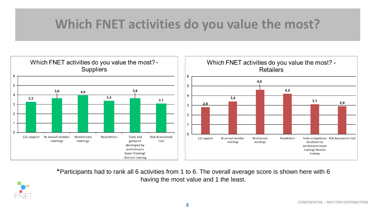# **Which FNET activities do you value the most?**



\*Participants had to rank all 6 activities from 1 to 6. The overall average score is shown here with 6 having the most value and 1 the least.